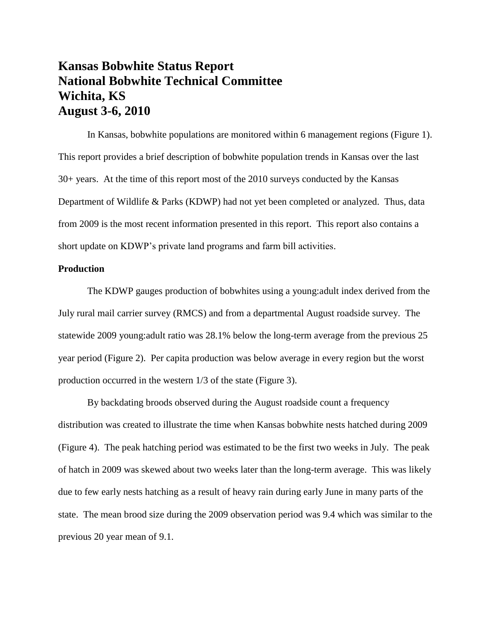# **Kansas Bobwhite Status Report National Bobwhite Technical Committee Wichita, KS August 3-6, 2010**

In Kansas, bobwhite populations are monitored within 6 management regions (Figure 1). This report provides a brief description of bobwhite population trends in Kansas over the last 30+ years. At the time of this report most of the 2010 surveys conducted by the Kansas Department of Wildlife & Parks (KDWP) had not yet been completed or analyzed. Thus, data from 2009 is the most recent information presented in this report. This report also contains a short update on KDWP's private land programs and farm bill activities.

# **Production**

The KDWP gauges production of bobwhites using a young:adult index derived from the July rural mail carrier survey (RMCS) and from a departmental August roadside survey. The statewide 2009 young:adult ratio was 28.1% below the long-term average from the previous 25 year period (Figure 2). Per capita production was below average in every region but the worst production occurred in the western 1/3 of the state (Figure 3).

By backdating broods observed during the August roadside count a frequency distribution was created to illustrate the time when Kansas bobwhite nests hatched during 2009 (Figure 4). The peak hatching period was estimated to be the first two weeks in July. The peak of hatch in 2009 was skewed about two weeks later than the long-term average. This was likely due to few early nests hatching as a result of heavy rain during early June in many parts of the state. The mean brood size during the 2009 observation period was 9.4 which was similar to the previous 20 year mean of 9.1.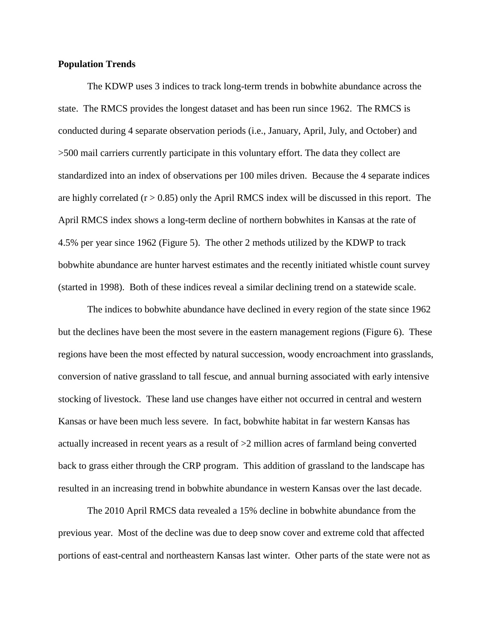# **Population Trends**

The KDWP uses 3 indices to track long-term trends in bobwhite abundance across the state. The RMCS provides the longest dataset and has been run since 1962. The RMCS is conducted during 4 separate observation periods (i.e., January, April, July, and October) and >500 mail carriers currently participate in this voluntary effort. The data they collect are standardized into an index of observations per 100 miles driven. Because the 4 separate indices are highly correlated  $(r > 0.85)$  only the April RMCS index will be discussed in this report. The April RMCS index shows a long-term decline of northern bobwhites in Kansas at the rate of 4.5% per year since 1962 (Figure 5). The other 2 methods utilized by the KDWP to track bobwhite abundance are hunter harvest estimates and the recently initiated whistle count survey (started in 1998). Both of these indices reveal a similar declining trend on a statewide scale.

The indices to bobwhite abundance have declined in every region of the state since 1962 but the declines have been the most severe in the eastern management regions (Figure 6). These regions have been the most effected by natural succession, woody encroachment into grasslands, conversion of native grassland to tall fescue, and annual burning associated with early intensive stocking of livestock. These land use changes have either not occurred in central and western Kansas or have been much less severe. In fact, bobwhite habitat in far western Kansas has actually increased in recent years as a result of >2 million acres of farmland being converted back to grass either through the CRP program. This addition of grassland to the landscape has resulted in an increasing trend in bobwhite abundance in western Kansas over the last decade.

The 2010 April RMCS data revealed a 15% decline in bobwhite abundance from the previous year. Most of the decline was due to deep snow cover and extreme cold that affected portions of east-central and northeastern Kansas last winter. Other parts of the state were not as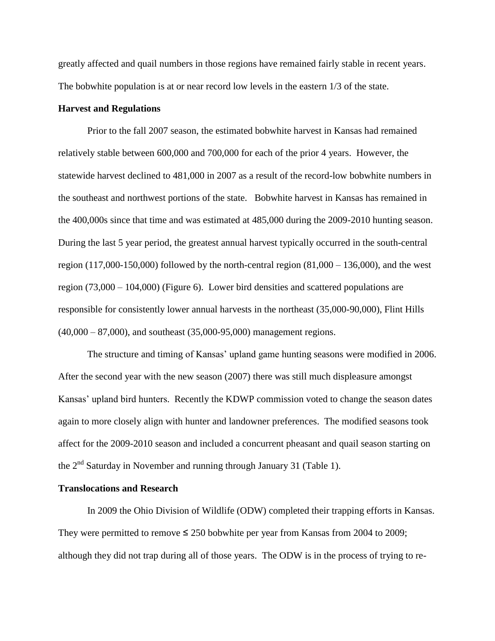greatly affected and quail numbers in those regions have remained fairly stable in recent years. The bobwhite population is at or near record low levels in the eastern 1/3 of the state.

# **Harvest and Regulations**

Prior to the fall 2007 season, the estimated bobwhite harvest in Kansas had remained relatively stable between 600,000 and 700,000 for each of the prior 4 years. However, the statewide harvest declined to 481,000 in 2007 as a result of the record-low bobwhite numbers in the southeast and northwest portions of the state. Bobwhite harvest in Kansas has remained in the 400,000s since that time and was estimated at 485,000 during the 2009-2010 hunting season. During the last 5 year period, the greatest annual harvest typically occurred in the south-central region (117,000-150,000) followed by the north-central region  $(81,000 - 136,000)$ , and the west region (73,000 – 104,000) (Figure 6). Lower bird densities and scattered populations are responsible for consistently lower annual harvests in the northeast (35,000-90,000), Flint Hills  $(40,000 - 87,000)$ , and southeast  $(35,000 - 95,000)$  management regions.

The structure and timing of Kansas' upland game hunting seasons were modified in 2006. After the second year with the new season (2007) there was still much displeasure amongst Kansas' upland bird hunters. Recently the KDWP commission voted to change the season dates again to more closely align with hunter and landowner preferences. The modified seasons took affect for the 2009-2010 season and included a concurrent pheasant and quail season starting on the 2nd Saturday in November and running through January 31 (Table 1).

## **Translocations and Research**

In 2009 the Ohio Division of Wildlife (ODW) completed their trapping efforts in Kansas. They were permitted to remove  $\leq 250$  bobwhite per year from Kansas from 2004 to 2009; although they did not trap during all of those years. The ODW is in the process of trying to re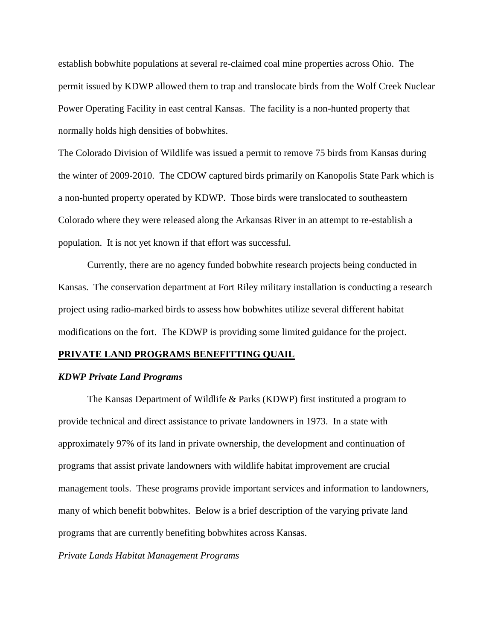establish bobwhite populations at several re-claimed coal mine properties across Ohio. The permit issued by KDWP allowed them to trap and translocate birds from the Wolf Creek Nuclear Power Operating Facility in east central Kansas. The facility is a non-hunted property that normally holds high densities of bobwhites.

The Colorado Division of Wildlife was issued a permit to remove 75 birds from Kansas during the winter of 2009-2010. The CDOW captured birds primarily on Kanopolis State Park which is a non-hunted property operated by KDWP. Those birds were translocated to southeastern Colorado where they were released along the Arkansas River in an attempt to re-establish a population. It is not yet known if that effort was successful.

Currently, there are no agency funded bobwhite research projects being conducted in Kansas. The conservation department at Fort Riley military installation is conducting a research project using radio-marked birds to assess how bobwhites utilize several different habitat modifications on the fort. The KDWP is providing some limited guidance for the project.

#### **PRIVATE LAND PROGRAMS BENEFITTING QUAIL**

## *KDWP Private Land Programs*

The Kansas Department of Wildlife & Parks (KDWP) first instituted a program to provide technical and direct assistance to private landowners in 1973. In a state with approximately 97% of its land in private ownership, the development and continuation of programs that assist private landowners with wildlife habitat improvement are crucial management tools. These programs provide important services and information to landowners, many of which benefit bobwhites. Below is a brief description of the varying private land programs that are currently benefiting bobwhites across Kansas.

### *Private Lands Habitat Management Programs*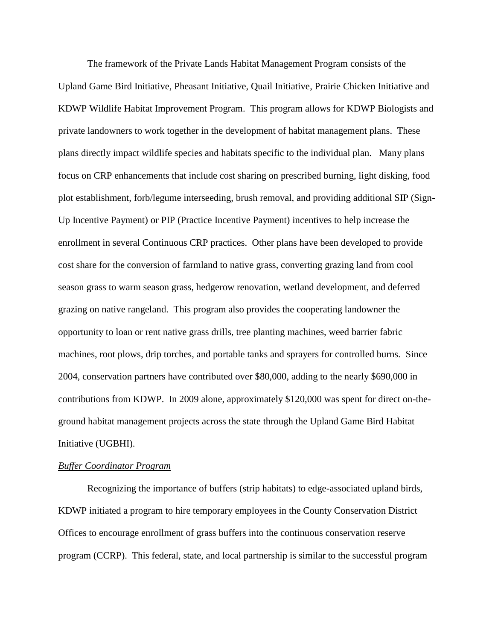The framework of the Private Lands Habitat Management Program consists of the Upland Game Bird Initiative, Pheasant Initiative, Quail Initiative, Prairie Chicken Initiative and KDWP Wildlife Habitat Improvement Program. This program allows for KDWP Biologists and private landowners to work together in the development of habitat management plans. These plans directly impact wildlife species and habitats specific to the individual plan. Many plans focus on CRP enhancements that include cost sharing on prescribed burning, light disking, food plot establishment, forb/legume interseeding, brush removal, and providing additional SIP (Sign-Up Incentive Payment) or PIP (Practice Incentive Payment) incentives to help increase the enrollment in several Continuous CRP practices. Other plans have been developed to provide cost share for the conversion of farmland to native grass, converting grazing land from cool season grass to warm season grass, hedgerow renovation, wetland development, and deferred grazing on native rangeland. This program also provides the cooperating landowner the opportunity to loan or rent native grass drills, tree planting machines, weed barrier fabric machines, root plows, drip torches, and portable tanks and sprayers for controlled burns. Since 2004, conservation partners have contributed over \$80,000, adding to the nearly \$690,000 in contributions from KDWP. In 2009 alone, approximately \$120,000 was spent for direct on-theground habitat management projects across the state through the Upland Game Bird Habitat Initiative (UGBHI).

#### *Buffer Coordinator Program*

Recognizing the importance of buffers (strip habitats) to edge-associated upland birds, KDWP initiated a program to hire temporary employees in the County Conservation District Offices to encourage enrollment of grass buffers into the continuous conservation reserve program (CCRP). This federal, state, and local partnership is similar to the successful program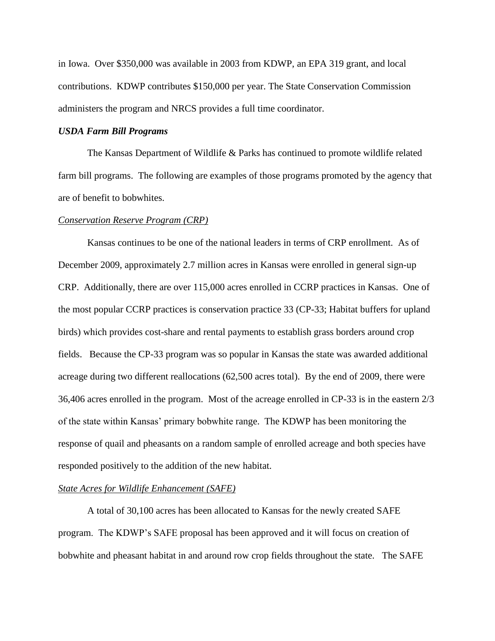in Iowa. Over \$350,000 was available in 2003 from KDWP, an EPA 319 grant, and local contributions. KDWP contributes \$150,000 per year. The State Conservation Commission administers the program and NRCS provides a full time coordinator.

# *USDA Farm Bill Programs*

The Kansas Department of Wildlife & Parks has continued to promote wildlife related farm bill programs. The following are examples of those programs promoted by the agency that are of benefit to bobwhites.

#### *Conservation Reserve Program (CRP)*

Kansas continues to be one of the national leaders in terms of CRP enrollment. As of December 2009, approximately 2.7 million acres in Kansas were enrolled in general sign-up CRP. Additionally, there are over 115,000 acres enrolled in CCRP practices in Kansas. One of the most popular CCRP practices is conservation practice 33 (CP-33; Habitat buffers for upland birds) which provides cost-share and rental payments to establish grass borders around crop fields. Because the CP-33 program was so popular in Kansas the state was awarded additional acreage during two different reallocations (62,500 acres total). By the end of 2009, there were 36,406 acres enrolled in the program. Most of the acreage enrolled in CP-33 is in the eastern 2/3 of the state within Kansas' primary bobwhite range. The KDWP has been monitoring the response of quail and pheasants on a random sample of enrolled acreage and both species have responded positively to the addition of the new habitat.

# *State Acres for Wildlife Enhancement (SAFE)*

A total of 30,100 acres has been allocated to Kansas for the newly created SAFE program. The KDWP's SAFE proposal has been approved and it will focus on creation of bobwhite and pheasant habitat in and around row crop fields throughout the state. The SAFE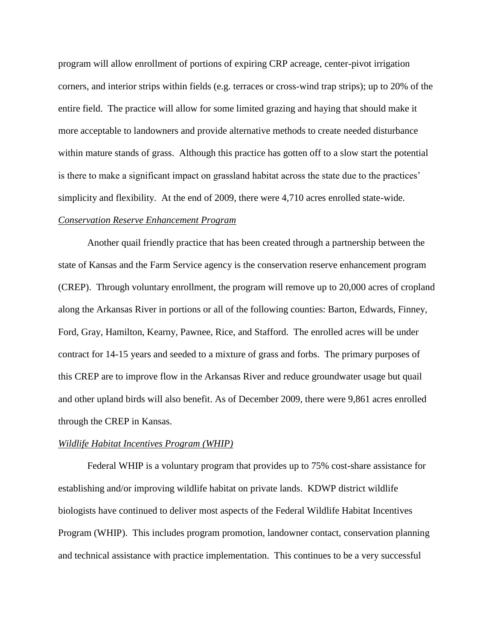program will allow enrollment of portions of expiring CRP acreage, center-pivot irrigation corners, and interior strips within fields (e.g. terraces or cross-wind trap strips); up to 20% of the entire field. The practice will allow for some limited grazing and haying that should make it more acceptable to landowners and provide alternative methods to create needed disturbance within mature stands of grass. Although this practice has gotten off to a slow start the potential is there to make a significant impact on grassland habitat across the state due to the practices' simplicity and flexibility. At the end of 2009, there were 4,710 acres enrolled state-wide.

# *Conservation Reserve Enhancement Program*

Another quail friendly practice that has been created through a partnership between the state of Kansas and the Farm Service agency is the conservation reserve enhancement program (CREP). Through voluntary enrollment, the program will remove up to 20,000 acres of cropland along the Arkansas River in portions or all of the following counties: Barton, Edwards, Finney, Ford, Gray, Hamilton, Kearny, Pawnee, Rice, and Stafford. The enrolled acres will be under contract for 14-15 years and seeded to a mixture of grass and forbs. The primary purposes of this CREP are to improve flow in the Arkansas River and reduce groundwater usage but quail and other upland birds will also benefit. As of December 2009, there were 9,861 acres enrolled through the CREP in Kansas.

#### *Wildlife Habitat Incentives Program (WHIP)*

Federal WHIP is a voluntary program that provides up to 75% cost-share assistance for establishing and/or improving wildlife habitat on private lands. KDWP district wildlife biologists have continued to deliver most aspects of the Federal Wildlife Habitat Incentives Program (WHIP). This includes program promotion, landowner contact, conservation planning and technical assistance with practice implementation. This continues to be a very successful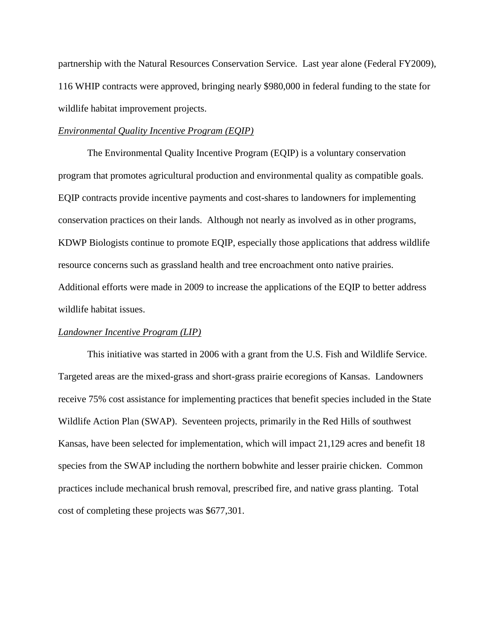partnership with the Natural Resources Conservation Service. Last year alone (Federal FY2009), 116 WHIP contracts were approved, bringing nearly \$980,000 in federal funding to the state for wildlife habitat improvement projects.

## *Environmental Quality Incentive Program (EQIP)*

The Environmental Quality Incentive Program (EQIP) is a voluntary conservation program that promotes agricultural production and environmental quality as compatible goals. EQIP contracts provide incentive payments and cost-shares to landowners for implementing conservation practices on their lands. Although not nearly as involved as in other programs, KDWP Biologists continue to promote EQIP, especially those applications that address wildlife resource concerns such as grassland health and tree encroachment onto native prairies. Additional efforts were made in 2009 to increase the applications of the EQIP to better address wildlife habitat issues.

# *Landowner Incentive Program (LIP)*

This initiative was started in 2006 with a grant from the U.S. Fish and Wildlife Service. Targeted areas are the mixed-grass and short-grass prairie ecoregions of Kansas. Landowners receive 75% cost assistance for implementing practices that benefit species included in the State Wildlife Action Plan (SWAP). Seventeen projects, primarily in the Red Hills of southwest Kansas, have been selected for implementation, which will impact 21,129 acres and benefit 18 species from the SWAP including the northern bobwhite and lesser prairie chicken. Common practices include mechanical brush removal, prescribed fire, and native grass planting. Total cost of completing these projects was \$677,301.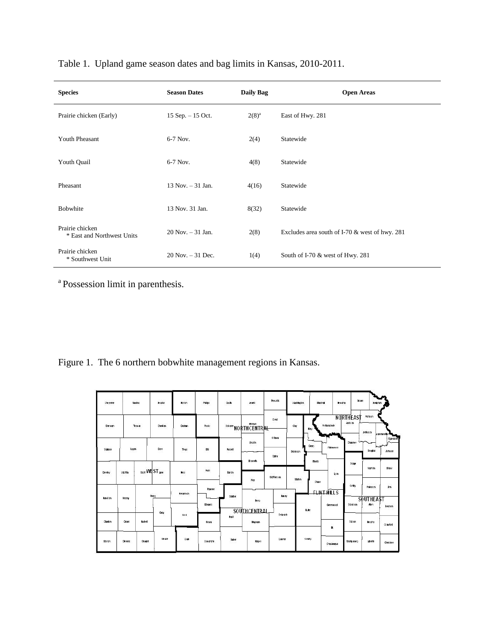|  |  | Table 1. Upland game season dates and bag limits in Kansas, 2010-2011. |  |  |  |  |
|--|--|------------------------------------------------------------------------|--|--|--|--|
|--|--|------------------------------------------------------------------------|--|--|--|--|

| <b>Species</b>                                | <b>Season Dates</b>   | <b>Daily Bag</b> | <b>Open Areas</b>                                |
|-----------------------------------------------|-----------------------|------------------|--------------------------------------------------|
| Prairie chicken (Early)                       | $15$ Sep. $- 15$ Oct. | $2(8)^{a}$       | East of Hwy. 281                                 |
| <b>Youth Pheasant</b>                         | 6-7 Nov.              | 2(4)             | Statewide                                        |
| Youth Quail                                   | 6-7 Nov.              | 4(8)             | Statewide                                        |
| Pheasant                                      | $13$ Nov. $-31$ Jan.  | 4(16)            | Statewide                                        |
| Bobwhite                                      | 13 Nov. 31 Jan.       | 8(32)            | Statewide                                        |
| Prairie chicken<br>* East and Northwest Units | $20$ Nov. $-31$ Jan.  | 2(8)             | Excludes area south of I-70 $&$ west of hwy. 281 |
| Prairie chicken<br>* Southwest Unit           | $20$ Nov. $-31$ Dec.  | 1(4)             | South of I-70 $&$ west of Hwy. 281               |

<sup>a</sup> Possession limit in parenthesis.

Figure 1. The 6 northern bobwhite management regions in Kansas.

| Cheyeme        | SORI    | <b>Rawling</b> | Decakin          | <b>Norlion</b>                         | $(1 - 2) (1 - 1)$<br>Philips | <b>Shill</b>  | J. well                       | <b>Republic</b>        | Washington       | <b>Marshall</b>             | llemaha                              | <b>Brown</b><br>Domiphan     |                             |
|----------------|---------|----------------|------------------|----------------------------------------|------------------------------|---------------|-------------------------------|------------------------|------------------|-----------------------------|--------------------------------------|------------------------------|-----------------------------|
| <b>Cherman</b> |         | Thomas         | <b>Ghatilian</b> | Graham                                 | Rocks                        |               | <b>Oster NORTHCENTRAL</b>     | Cloud                  | <b>Clay</b>      | Pollbwatenie<br>Ney         | <b>NORTHEAST</b><br>Jadisim<br>h dan | Aldrison<br>Jeferson         | e avenuority-               |
| Wallace        | logan   |                | Gare             | <b>CANCLE AT</b><br>Thego              | Elt                          | <b>Putted</b> | Undin<br>-                    | Olbwa<br><b>Salire</b> | <b>Biddinson</b> | Geary                       | <b>Shaunee</b><br><b>Whichargee</b>  | $\sim$<br>Douglas            | Wandolle<br>محمد<br>Johnson |
| Greeley        | World   |                | con WEST Lane    | Ness.                                  | Ruh                          | <b>Barkn</b>  | <b>Bowerh</b>                 | McPherson              | Marken           | <b>Monts</b>                | Orage<br>lym                         | Franklin                     | Mad                         |
| <b>Band bo</b> | lean    |                | Firmy            | Holgeman                               | Pawnee                       | Stations      | <b>R</b> <sub>c</sub><br>Reno | Havey                  |                  | Chase<br><b>FLINT HILLS</b> | Coffey                               | Anderson<br><b>SOUTHEAST</b> | <b>Um</b>                   |
|                | Gray    | Fad            | Edward:<br>Prall | <b>SOUTHCENTRAL</b><br><b>Seduwick</b> |                              | Buler         | Woalson<br>Greenwood          | Hen                    | Bourbon          |                             |                                      |                              |                             |
| Stankin        | Grant   | <b>Raskell</b> |                  |                                        | Howa                         |               | Hingman                       |                        |                  |                             | Wison<br>в.                          | <b>Record</b>                | Crawford                    |
| Morkon         | Stevens | <b>Ceward</b>  | Meale            | Clark                                  | Comandor.                    | Barber        | Harper                        | Summer                 |                  | Cowley                      | Montgomery<br>Chautaugua             | Labelle                      | Cherokee                    |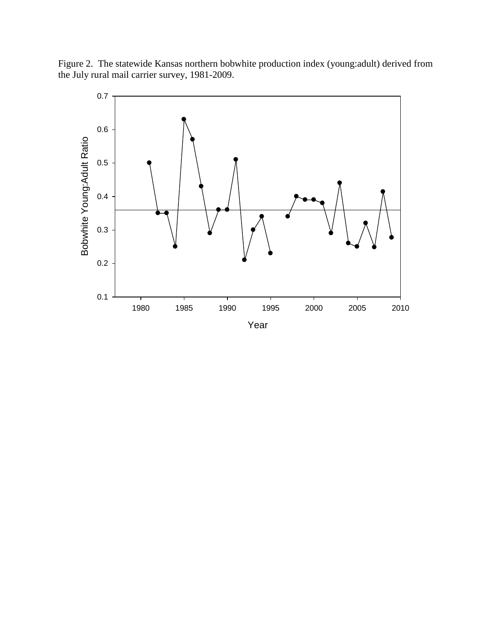Figure 2. The statewide Kansas northern bobwhite production index (young:adult) derived from the July rural mail carrier survey, 1981-2009.

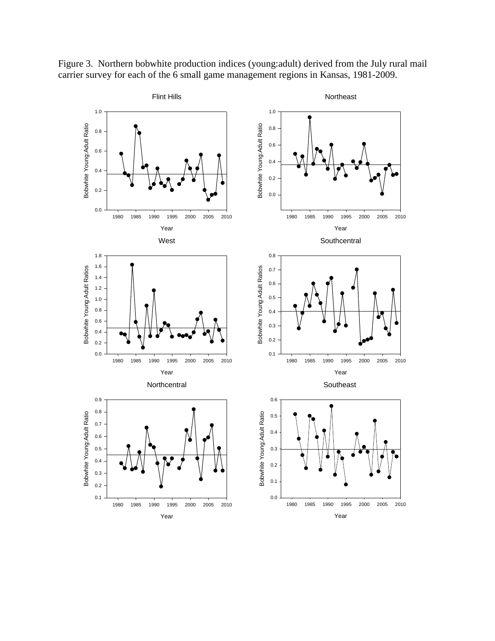

Figure 3. Northern bobwhite production indices (young:adult) derived from the July rural mail carrier survey for each of the 6 small game management regions in Kansas, 1981-2009.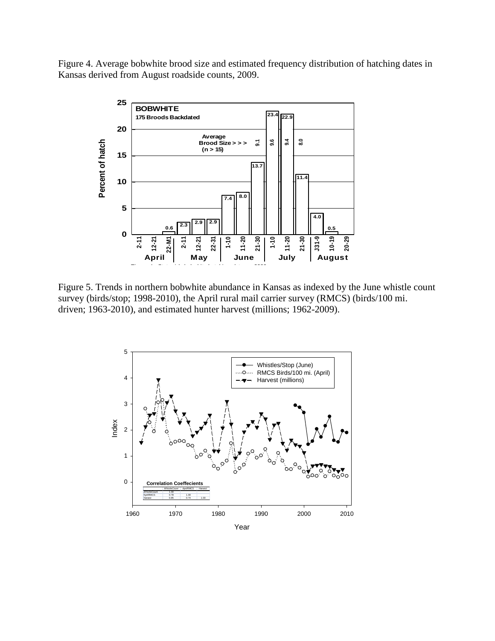Figure 4. Average bobwhite brood size and estimated frequency distribution of hatching dates in Kansas derived from August roadside counts, 2009.



Figure 5. Trends in northern bobwhite abundance in Kansas as indexed by the June whistle count survey (birds/stop; 1998-2010), the April rural mail carrier survey (RMCS) (birds/100 mi. driven; 1963-2010), and estimated hunter harvest (millions; 1962-2009).